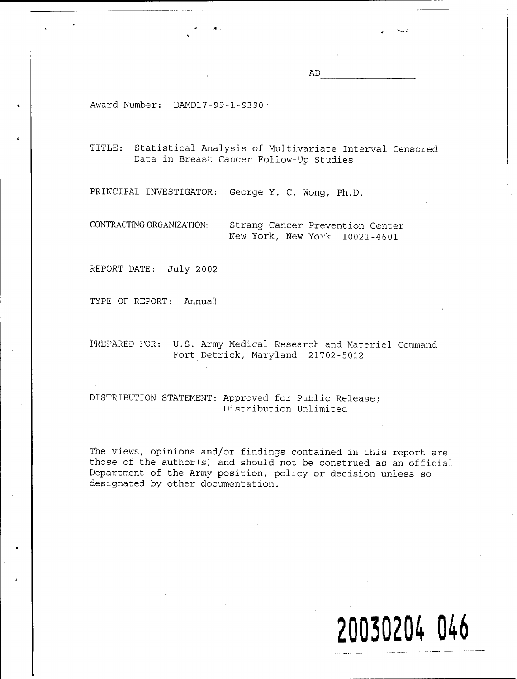AD

Award Number: DAMD17-99-1-9390'

TITLE: Statistical Analysis of Multivariate Interval Censored Data in Breast Cancer Follow-Up Studies

PRINCIPAL INVESTIGATOR: George Y. C. Wong, Ph.D.

CONTRACTING ORGANIZATION: Strang Cancer Prevention Center New York, New York 10021-4601

REPORT DATE: July 2002

TYPE OF REPORT: Annual

PREPARED FOR: U.S. Army Medical Research and Materiel Command Fort Detrick, Maryland 21702-5012

DISTRIBUTION STATEMENT: Approved for Public Release; Distribution Unlimited

The views, opinions and/or findings contained in this report are those of the author(s) and should not be construed as an official Department of the Army position, policy or decision unless so designated by other documentation.

# 20030204 046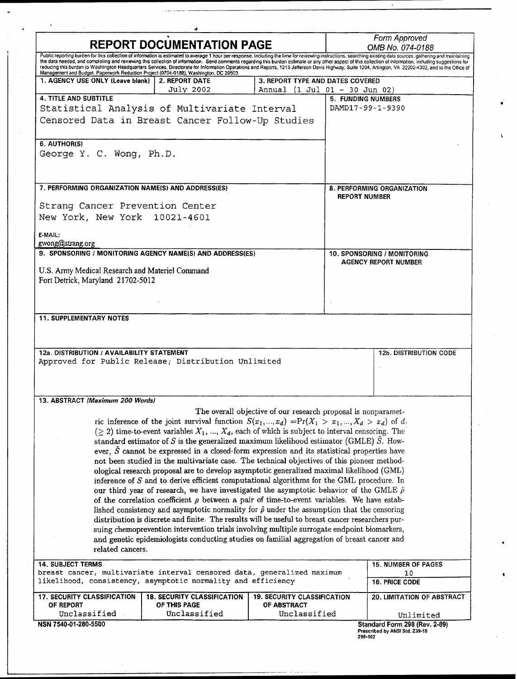| 4<br><b>REPORT DOCUMENTATION PAGE</b>                                                                                                                                                                                                                                                                                                                                                                                            |                                                                                                                                                                                                           |                                                               | Form Approved<br>OMB No. 074-0188                  |                                                                 |  |
|----------------------------------------------------------------------------------------------------------------------------------------------------------------------------------------------------------------------------------------------------------------------------------------------------------------------------------------------------------------------------------------------------------------------------------|-----------------------------------------------------------------------------------------------------------------------------------------------------------------------------------------------------------|---------------------------------------------------------------|----------------------------------------------------|-----------------------------------------------------------------|--|
| Public reporting burden for this collection of information is estimated to average 1 hour per response, including the time for reviewing instructions, searching existing data sources, gathering and maintaining<br>the data needed, and completing and reviewing this collection of information. Send comments regarding this burden estimate or any other aspect of this collection of information, including suggestions for |                                                                                                                                                                                                           |                                                               |                                                    |                                                                 |  |
| reducing this burden to Washington Headquarters Services, Directorate for Information Operations and Reports, 1215 Jefferson Davis Highway, Suite 1204, Arlington, VA 22202-4302, and to the Office of<br>Management and Budget, Paperwork Reduction Project (0704-0188), Washington, DC 20503                                                                                                                                   |                                                                                                                                                                                                           |                                                               |                                                    |                                                                 |  |
| 1. AGENCY USE ONLY (Leave blank)   2. REPORT DATE                                                                                                                                                                                                                                                                                                                                                                                |                                                                                                                                                                                                           | 3. REPORT TYPE AND DATES COVERED                              |                                                    |                                                                 |  |
| 4. TITLE AND SUBTITLE                                                                                                                                                                                                                                                                                                                                                                                                            | July 2002                                                                                                                                                                                                 | Annual (1 Jul 01 - 30 Jun 02)                                 |                                                    |                                                                 |  |
|                                                                                                                                                                                                                                                                                                                                                                                                                                  |                                                                                                                                                                                                           |                                                               | <b>5. FUNDING NUMBERS</b><br>DAMD17-99-1-9390      |                                                                 |  |
| Statistical Analysis of Multivariate Interval<br>Censored Data in Breast Cancer Follow-Up Studies                                                                                                                                                                                                                                                                                                                                |                                                                                                                                                                                                           |                                                               |                                                    |                                                                 |  |
|                                                                                                                                                                                                                                                                                                                                                                                                                                  |                                                                                                                                                                                                           |                                                               |                                                    |                                                                 |  |
| 6. AUTHOR(S)                                                                                                                                                                                                                                                                                                                                                                                                                     |                                                                                                                                                                                                           |                                                               |                                                    |                                                                 |  |
| George Y. C. Wong, Ph.D.                                                                                                                                                                                                                                                                                                                                                                                                         |                                                                                                                                                                                                           |                                                               |                                                    |                                                                 |  |
|                                                                                                                                                                                                                                                                                                                                                                                                                                  |                                                                                                                                                                                                           |                                                               |                                                    |                                                                 |  |
|                                                                                                                                                                                                                                                                                                                                                                                                                                  |                                                                                                                                                                                                           |                                                               |                                                    |                                                                 |  |
| 7. PERFORMING ORGANIZATION NAME(S) AND ADDRESS(ES)                                                                                                                                                                                                                                                                                                                                                                               |                                                                                                                                                                                                           |                                                               | 8. PERFORMING ORGANIZATION<br><b>REPORT NUMBER</b> |                                                                 |  |
| Strang Cancer Prevention Center                                                                                                                                                                                                                                                                                                                                                                                                  |                                                                                                                                                                                                           |                                                               |                                                    |                                                                 |  |
| New York, New York 10021-4601                                                                                                                                                                                                                                                                                                                                                                                                    |                                                                                                                                                                                                           |                                                               |                                                    |                                                                 |  |
|                                                                                                                                                                                                                                                                                                                                                                                                                                  |                                                                                                                                                                                                           |                                                               |                                                    |                                                                 |  |
| E-MAIL:                                                                                                                                                                                                                                                                                                                                                                                                                          |                                                                                                                                                                                                           |                                                               |                                                    |                                                                 |  |
| gwong@strang.org<br>9. SPONSORING / MONITORING AGENCY NAME(S) AND ADDRESS(ES)                                                                                                                                                                                                                                                                                                                                                    |                                                                                                                                                                                                           |                                                               | <b>10. SPONSORING / MONITORING</b>                 |                                                                 |  |
|                                                                                                                                                                                                                                                                                                                                                                                                                                  |                                                                                                                                                                                                           |                                                               | <b>AGENCY REPORT NUMBER</b>                        |                                                                 |  |
| U.S. Army Medical Research and Materiel Command                                                                                                                                                                                                                                                                                                                                                                                  |                                                                                                                                                                                                           |                                                               |                                                    |                                                                 |  |
| Fort Detrick, Maryland 21702-5012                                                                                                                                                                                                                                                                                                                                                                                                |                                                                                                                                                                                                           |                                                               |                                                    |                                                                 |  |
|                                                                                                                                                                                                                                                                                                                                                                                                                                  |                                                                                                                                                                                                           |                                                               |                                                    |                                                                 |  |
|                                                                                                                                                                                                                                                                                                                                                                                                                                  |                                                                                                                                                                                                           |                                                               |                                                    |                                                                 |  |
| <b>11. SUPPLEMENTARY NOTES</b>                                                                                                                                                                                                                                                                                                                                                                                                   |                                                                                                                                                                                                           |                                                               |                                                    |                                                                 |  |
|                                                                                                                                                                                                                                                                                                                                                                                                                                  |                                                                                                                                                                                                           |                                                               |                                                    |                                                                 |  |
|                                                                                                                                                                                                                                                                                                                                                                                                                                  |                                                                                                                                                                                                           |                                                               |                                                    |                                                                 |  |
| 12a. DISTRIBUTION / AVAILABILITY STATEMENT<br>Approved for Public Release; Distribution Unlimited                                                                                                                                                                                                                                                                                                                                |                                                                                                                                                                                                           |                                                               |                                                    | <b>12b. DISTRIBUTION CODE</b>                                   |  |
|                                                                                                                                                                                                                                                                                                                                                                                                                                  |                                                                                                                                                                                                           |                                                               |                                                    |                                                                 |  |
|                                                                                                                                                                                                                                                                                                                                                                                                                                  |                                                                                                                                                                                                           |                                                               |                                                    |                                                                 |  |
| 13. ABSTRACT (Maximum 200 Words)                                                                                                                                                                                                                                                                                                                                                                                                 |                                                                                                                                                                                                           |                                                               |                                                    |                                                                 |  |
|                                                                                                                                                                                                                                                                                                                                                                                                                                  |                                                                                                                                                                                                           | The overall objective of our research proposal is nonparamet- |                                                    |                                                                 |  |
|                                                                                                                                                                                                                                                                                                                                                                                                                                  | ric inference of the joint survival function $S(x_1, , x_d) = Pr(X_1 > x_1, , X_d > x_d)$ of d.                                                                                                           |                                                               |                                                    |                                                                 |  |
|                                                                                                                                                                                                                                                                                                                                                                                                                                  | $(2 2)$ time-to-event variables $X_1, , X_d$ , each of which is subject to interval censoring. The                                                                                                        |                                                               |                                                    |                                                                 |  |
|                                                                                                                                                                                                                                                                                                                                                                                                                                  | standard estimator of S is the generalized maximum likelihood estimator (GMLE) $\hat{S}$ . How-                                                                                                           |                                                               |                                                    |                                                                 |  |
|                                                                                                                                                                                                                                                                                                                                                                                                                                  | ever, $\tilde{S}$ cannot be expressed in a closed-form expression and its statistical properties have<br>not been studied in the multivariate case. The technical objectives of this pioneer method-      |                                                               |                                                    |                                                                 |  |
|                                                                                                                                                                                                                                                                                                                                                                                                                                  | ological research proposal are to develop asymptotic generalized maximal likelihood (GML)                                                                                                                 |                                                               |                                                    |                                                                 |  |
|                                                                                                                                                                                                                                                                                                                                                                                                                                  | inference of $S$ and to derive efficient computational algorithms for the GML procedure. In                                                                                                               |                                                               |                                                    |                                                                 |  |
|                                                                                                                                                                                                                                                                                                                                                                                                                                  | our third year of research, we have investigated the asymptotic behavior of the GMLE $\hat{\rho}$                                                                                                         |                                                               |                                                    |                                                                 |  |
|                                                                                                                                                                                                                                                                                                                                                                                                                                  | of the correlation coefficient $\rho$ between a pair of time-to-event variables. We have estab-                                                                                                           |                                                               |                                                    |                                                                 |  |
|                                                                                                                                                                                                                                                                                                                                                                                                                                  | lished consistency and asymptotic normality for $\hat{\rho}$ under the assumption that the censoring<br>distribution is discrete and finite. The results will be useful to breast cancer researchers pur- |                                                               |                                                    |                                                                 |  |
|                                                                                                                                                                                                                                                                                                                                                                                                                                  | suing chemoprevention intervention trials involving multiple surrogate endpoint biomarkers,                                                                                                               |                                                               |                                                    |                                                                 |  |
|                                                                                                                                                                                                                                                                                                                                                                                                                                  | and genetic epidemiologists conducting studies on familial aggregation of breast cancer and                                                                                                               |                                                               |                                                    |                                                                 |  |
| related cancers.                                                                                                                                                                                                                                                                                                                                                                                                                 |                                                                                                                                                                                                           |                                                               |                                                    |                                                                 |  |
| <b>14. SUBJECT TERMS</b>                                                                                                                                                                                                                                                                                                                                                                                                         |                                                                                                                                                                                                           |                                                               |                                                    | <b>15. NUMBER OF PAGES</b>                                      |  |
| breast cancer, multivariate interval censored data, generalized maximum<br>likelihood, consistency, asymptotic normality and efficiency                                                                                                                                                                                                                                                                                          |                                                                                                                                                                                                           |                                                               |                                                    | 10                                                              |  |
|                                                                                                                                                                                                                                                                                                                                                                                                                                  |                                                                                                                                                                                                           |                                                               |                                                    | 16. PRICE CODE                                                  |  |
| <b>17. SECURITY CLASSIFICATION</b>                                                                                                                                                                                                                                                                                                                                                                                               | <b>18. SECURITY CLASSIFICATION</b>                                                                                                                                                                        | <b>19. SECURITY CLASSIFICATION</b>                            |                                                    | 20. LIMITATION OF ABSTRACT                                      |  |
| OF REPORT<br>Unclassified                                                                                                                                                                                                                                                                                                                                                                                                        | OF THIS PAGE<br>Unclassified                                                                                                                                                                              | <b>OF ABSTRACT</b><br>Unclassified                            |                                                    | Unlimited                                                       |  |
| NSN 7540-01-280-5500                                                                                                                                                                                                                                                                                                                                                                                                             |                                                                                                                                                                                                           |                                                               |                                                    |                                                                 |  |
|                                                                                                                                                                                                                                                                                                                                                                                                                                  |                                                                                                                                                                                                           |                                                               | 298-102                                            | Standard Form 298 (Rev. 2-89)<br>Prescribed by ANSI Std. Z39-18 |  |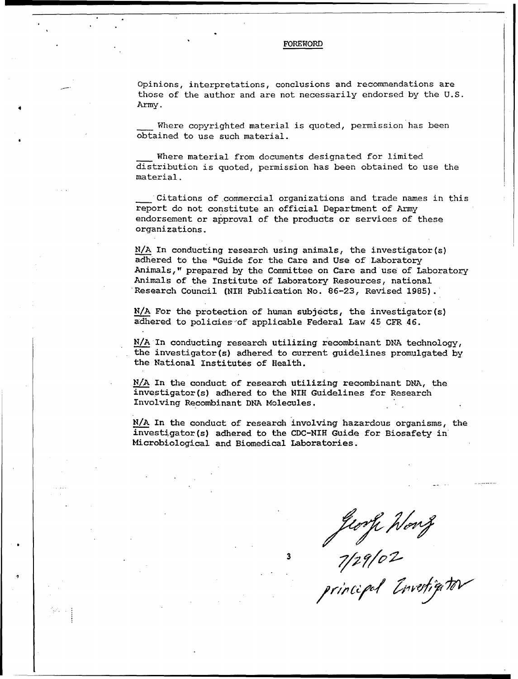#### FOREWORD

Opinions, interpretations, conclusions and recommendations are those of the author and are not necessarily endorsed by the U.S. Army.

Where copyrighted material is quoted, permission has been obtained to use such material.

Where material from documents designated for limited distribution is quoted, permission has been obtained to use the material.

Citations of commercial organizations and trade names in this report do not constitute an official Department of Army endorsement or approval of the products or services of these organizations.

 $N/A$  In conducting research using animals, the investigator(s) adhered to the "Guide for the Care and Use of Laboratory Animals," prepared by the Committee on Care and use of Laboratory Animals of the Institute of Laboratory Resources, national Research Council (NIH Publication No. 86-23, Revised 1985).

 $N/A$  For the protection of human subjects, the investigator(s) adhered to policies-of applicable Federal Law 45 CFR 46.

N/A In conducting research utilizing recombinant DNA technology, the investigator(s) adhered to current guidelines promulgated by the National Institutes of Health.

**NIA** In the conduct of research utilizing recombinant DNA, the investigator(s) adhered to the NIH Guidelines for Research Involving Recombinant DNA Molecules.

**3**

N/A In the conduct of research involving hazardous organisms, the investigator(s) adhered to the CDC-NIH Guide for Biosafety in Microbiological and Biomedical Laboratories.

Jeorf Honz<br>1/29/02<br>principal Envertigiter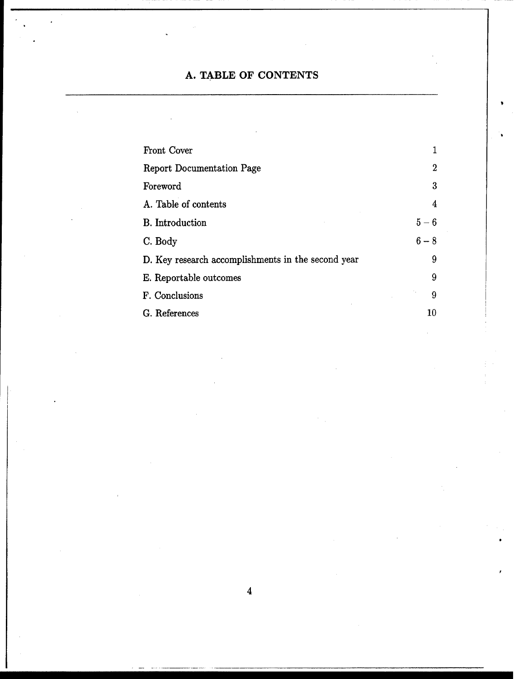# **A.** TABLE OF **CONTENTS**

| <b>Front Cover</b>                                 |         |
|----------------------------------------------------|---------|
| <b>Report Documentation Page</b>                   | 2       |
| Foreword                                           | 3       |
| A. Table of contents                               | 4       |
| <b>B.</b> Introduction                             | $5-6$   |
| C. Body                                            | $6 - 8$ |
| D. Key research accomplishments in the second year | 9       |
| E. Reportable outcomes                             | 9       |
| F. Conclusions                                     | 9       |
| G. References                                      | 10      |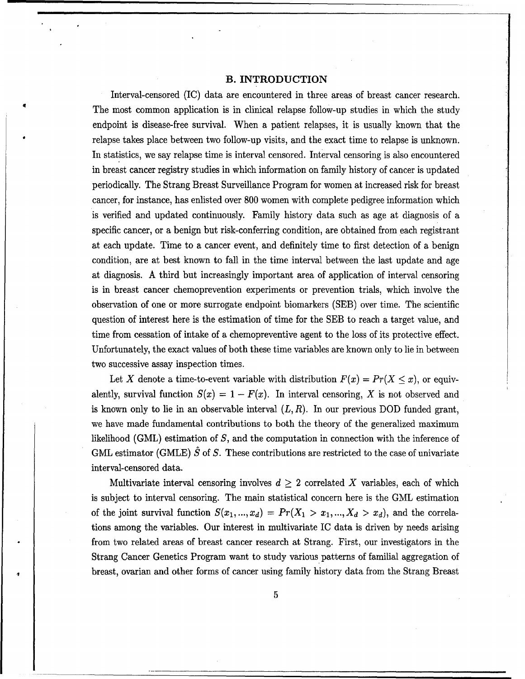# B. INTRODUCTION

Interval-censored (IC) data are encountered in three areas of breast cancer research. The most common application is in clinical relapse follow-up studies in which the study endpoint is disease-free survival. When a patient relapses, it is usually known that the relapse takes place between two follow-up visits, and the exact time to relapse is unknown. In statistics, we say relapse time is interval censored. Interval censoring is also encountered in breast cancer registry studies in which information on family history of cancer is updated periodically. The Strang Breast Surveillance Program for women at increased risk for breast cancer, for instance, has enlisted over 800 women with complete pedigree information which is verified and updated continuously. Family history data such as age at diagnosis of a specific cancer, or a benign but risk-conferring condition, are obtained from each registrant at each update. Time to a cancer event, and definitely time to first detection of a benign condition, are at best known to fall in the time interval between the last update and age at diagnosis. A third but increasingly important area of application of interval censoring is in breast cancer chemoprevention experiments or prevention trials, which involve the observation of one or more surrogate endpoint biomarkers (SEB) over time. The scientific question of interest here is the estimation of time for the SEB to reach a target value, and time from cessation of intake of a chemopreventive agent to the loss of its protective effect. Unfortunately, the exact values of both these time variables are known only to lie in between two successive assay inspection times.

Let X denote a time-to-event variable with distribution  $F(x) = Pr(X \leq x)$ , or equivalently, survival function  $S(x) = 1 - F(x)$ . In interval censoring, X is not observed and is known only to lie in an observable interval  $(L, R)$ . In our previous DOD funded grant, we have made fundamental contributions to both the theory of the generalized maximum likelihood (GML) estimation of **S,** and the computation in connection with the inference of GML estimator (GMLE)  $\hat{S}$  of  $S$ . These contributions are restricted to the case of univariate interval-censored data.

Multivariate interval censoring involves  $d \geq 2$  correlated X variables, each of which is subject to interval censoring. The main statistical concern here is the GML estimation of the joint survival function  $S(x_1, ..., x_d) = Pr(X_1 > x_1, ..., X_d > x_d)$ , and the correlations among the variables. Our interest in multivariate IC data is driven by needs arising from two related areas of breast cancer research at Strang. First, our investigators in the Strang Cancer Genetics Program want to study various patterns of familial aggregation of breast, ovarian and other forms of cancer using family history data from the Strang Breast

**5**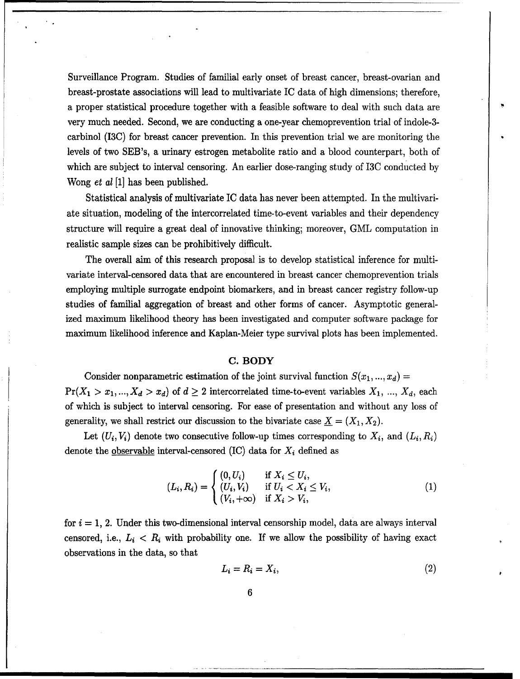Surveillance Program. Studies of familial early onset of breast cancer, breast-ovarian and breast-prostate associations will lead to multivariate IC data of high dimensions; therefore, a proper statistical procedure together with a feasible software to deal with such data are very much needed. Second, we are conducting a one-year chemoprevention trial of indole-3 carbinol (13C) for breast cancer prevention. In this prevention trial we are monitoring the levels of two SEB's, a urinary estrogen metabolite ratio and a blood counterpart, both of which are subject to interval censoring. An earlier dose-ranging study of I3C conducted by Wong et al [1] has been published.

Statistical analysis of multivariate IC data has never been attempted. In the multivariate situation, modeling of the intercorrelated time-to-event variables and their dependency structure will require a great deal of innovative thinking; moreover, GML computation in realistic sample sizes can be prohibitively difficult.

The overall aim of this research proposal is to develop statistical inference for multivariate interval-censored data that are encountered in breast cancer chemoprevention trials employing multiple surrogate endpoint biomarkers, and in breast cancer registry follow-up studies of familial aggregation of breast and other forms of cancer. Asymptotic generalized maximum likelihood theory has been investigated and computer software package for maximum likelihood inference and Kaplan-Meier type survival plots has been implemented.

#### **C.** BODY

Consider nonparametric estimation of the joint survival function  $S(x_1, ..., x_d)$  $Pr(X_1 > x_1, ..., X_d > x_d)$  of  $d \geq 2$  intercorrelated time-to-event variables  $X_1, ..., X_d$ , each of which is subject to interval censoring. For ease of presentation and without any loss of generality, we shall restrict our discussion to the bivariate case  $\underline{X} = (X_1, X_2)$ .

Let  $(U_i, V_i)$  denote two consecutive follow-up times corresponding to  $X_i$ , and  $(L_i, R_i)$ denote the <u>observable</u> interval-censored (IC) data for  $X_i$  defined as

$$
(L_i, R_i) = \begin{cases} (0, U_i) & \text{if } X_i \le U_i, \\ (U_i, V_i) & \text{if } U_i < X_i \le V_i, \\ (V_i, +\infty) & \text{if } X_i > V_i, \end{cases} \tag{1}
$$

for  $i = 1, 2$ . Under this two-dimensional interval censorship model, data are always interval censored, i.e.,  $L_i < R_i$  with probability one. If we allow the possibility of having exact observations in the data, so that

$$
L_i = R_i = X_i,\tag{2}
$$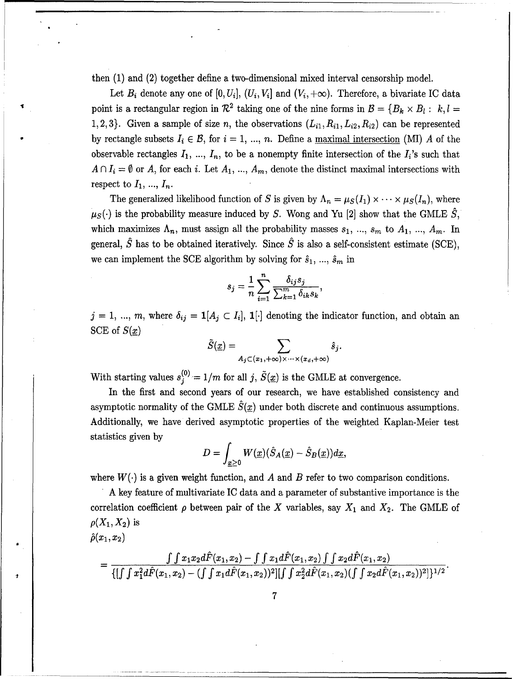then (1) and (2) together define a two-dimensional mixed interval censorship model.

Let  $B_i$  denote any one of  $[0, U_i]$ ,  $(U_i, V_i]$  and  $(V_i, +\infty)$ . Therefore, a bivariate IC data point is a rectangular region in  $\mathcal{R}^2$  taking one of the nine forms in  $\mathcal{B} = \{B_k \times B_l : k, l = 1, 2, \ldots, l\}$ 1,2,3}. Given a sample of size n, the observations  $(L_{i1}, R_{i1}, L_{i2}, R_{i2})$  can be represented by rectangle subsets  $I_i \in \mathcal{B}$ , for  $i = 1, ..., n$ . Define a <u>maximal intersection</u> (MI) A of the observable rectangles  $I_1$ , ...,  $I_n$ , to be a nonempty finite intersection of the  $I_i$ 's such that  $A \cap I_i = \emptyset$  or A, for each i. Let  $A_1, ..., A_m$ , denote the distinct maximal intersections with respect to  $I_1, ..., I_n$ .

The generalized likelihood function of S is given by  $\Lambda_n = \mu_S(I_1) \times \cdots \times \mu_S(I_n)$ , where  $\mu_S(\cdot)$  is the probability measure induced by S. Wong and Yu [2] show that the GMLE  $\hat{S}$ , which maximizes  $\Lambda_n$ , must assign all the probability masses  $s_1$ , ...,  $s_m$  to  $A_1$ , ...,  $A_m$ . In general,  $\hat{S}$  has to be obtained iteratively. Since  $\hat{S}$  is also a self-consistent estimate (SCE), we can implement the SCE algorithm by solving for  $\hat{s}_1, ..., \hat{s}_m$  in

$$
s_j = \frac{1}{n} \sum_{i=1}^n \frac{\delta_{ij} s_j}{\sum_{k=1}^m \delta_{ik} s_k},
$$

 $j = 1, ..., m$ , where  $\delta_{ij} = 1[A_j \subset I_i], 1[\cdot]$  denoting the indicator function, and obtain an SCE of *S(x)*

$$
\tilde{S}(\underline{x}) = \sum_{A_j \subset (x_1, +\infty) \times \cdots \times (x_d, +\infty)} \hat{s}_j.
$$

With starting values  $s_j^{(0)} = 1/m$  for all j,  $\tilde{S}(\underline{x})$  is the GMLE at convergence.

In the first and second years of our research, we have established consistency and asymptotic normality of the GMLE  $\hat{S}(x)$  under both discrete and continuous assumptions. Additionally, we have derived asymptotic properties of the weighted Kaplan-Meier test statistics given by

$$
D = \int_{\underline{x} \geq 0} W(\underline{x}) (\hat{S}_A(\underline{x}) - \hat{S}_B(\underline{x})) d\underline{x},
$$

where  $W(\cdot)$  is a given weight function, and A and B refer to two comparison conditions.

A key feature of multivariate IC data and a parameter of substantive importance is the correlation coefficient  $\rho$  between pair of the X variables, say  $X_1$  and  $X_2$ . The GMLE of  $\rho(X_1, X_2)$  is  $\hat{\rho}(x_1,x_2)$ 

$$
=\frac{\int\int x_1x_2d\hat{F}(x_1,x_2)-\int\int x_1d\hat{F}(x_1,x_2)\int\int x_2d\hat{F}(x_1,x_2)}{\{[\int\int x_1^2d\hat{F}(x_1,x_2)-(\int\int x_1d\hat{F}(x_1,x_2))^2][\int\int x_2^2d\hat{F}(x_1,x_2)(\int\int x_2d\hat{F}(x_1,x_2))^2]\}^{1/2}}.
$$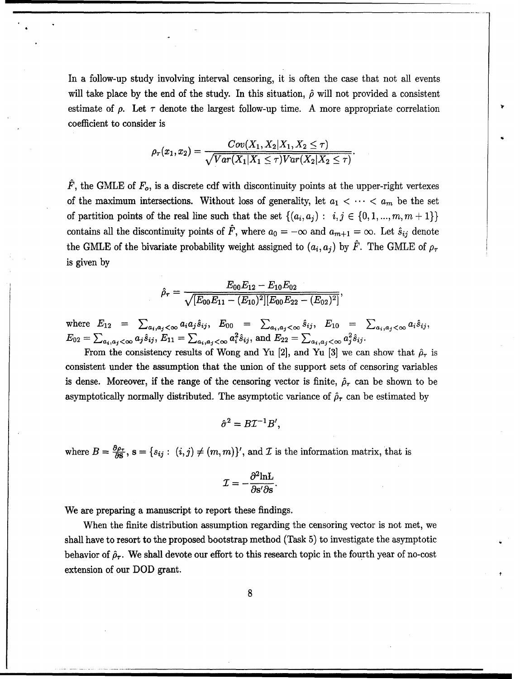In a follow-up study involving interval censoring, it is often the case that not all events will take place by the end of the study. In this situation,  $\hat{\rho}$  will not provided a consistent estimate of  $\rho$ . Let  $\tau$  denote the largest follow-up time. A more appropriate correlation coefficient to consider is

$$
\rho_\tau(x_1,x_2)=\frac{Cov(X_1,X_2|X_1,X_2\leq \tau)}{\sqrt{Var(X_1|X_1\leq \tau)Var(X_2|X_2\leq \tau)}}.
$$

 $\hat{F}$ , the GMLE of  $F_o$ , is a discrete cdf with discontinuity points at the upper-right vertexes of the maximum intersections. Without loss of generality, let  $a_1 < \cdots < a_m$  be the set of partition points of the real line such that the set  $\{(a_i, a_j) : i, j \in \{0, 1, ..., m, m + 1\}\}\$ contains all the discontinuity points of  $\hat{F}$ , where  $a_0 = -\infty$  and  $a_{m+1} = \infty$ . Let  $\hat{s}_{ij}$  denote the GMLE of the bivariate probability weight assigned to  $(a_i, a_j)$  by  $\hat{F}$ . The GMLE of  $\rho_{\tau}$ is given by

$$
\hat{\rho}_{\tau} = \frac{E_{00}E_{12} - E_{10}E_{02}}{\sqrt{[E_{00}E_{11} - (E_{10})^2][E_{00}E_{22} - (E_{02})^2]}};
$$

where  $E_{12} = \sum_{a_i, a_j < \infty} a_i a_j \hat{s}_{ij}$ ,  $E_{00} = \sum_{a_i, a_j < \infty} \hat{s}_{ij}$ ,  $E_{10} = \sum_{a_i, a_j < \infty} a_i \hat{s}_{ij}$ ,  $E_{02} = \sum_{a_i, a_j < \infty} a_j \hat{s}_{ij}, E_{11} = \sum_{a_i, a_j < \infty} a_i^2 \hat{s}_{ij}, \text{ and } E_{22} = \sum_{a_i, a_j < \infty} a_j^2 \hat{s}_{ij}.$ 

From the consistency results of Wong and Yu [2], and Yu [3] we can show that  $\hat{\rho}_{\tau}$  is consistent under the assumption that the union of the support sets of censoring variables is dense. Moreover, if the range of the censoring vector is finite,  $\hat{\rho}_{\tau}$  can be shown to be asymptotically normally distributed. The asymptotic variance of  $\hat{\rho}_{\tau}$  can be estimated by

$$
\hat{\sigma}^2 = B\mathcal{I}^{-1}B',
$$

where  $B = \frac{\partial \rho_{\tau}}{\partial S}$ ,  $s = \{s_{ij} : (i,j) \neq (m,m)\}'$ , and *I* is the information matrix, that is

$$
\mathcal{I}=-\frac{\partial^2 \text{ln}L}{\partial s' \partial s}.
$$

We are preparing a manuscript to report these findings.

When the finite distribution assumption regarding the censoring vector is not met, we shall have to resort to the proposed bootstrap method (Task 5) to investigate the asymptotic behavior of  $\hat{\rho}_{\tau}$ . We shall devote our effort to this research topic in the fourth year of no-cost extension of our **DOD** grant.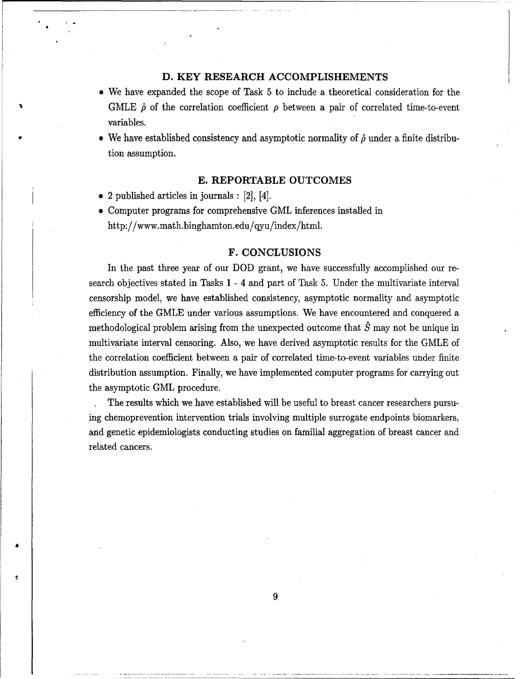# **D.** KEY RESEARCH ACCOMPLISHEMENTS

- We have expanded the scope of Task 5 to include a theoretical consideration for the GMLE  $\hat{\rho}$  of the correlation coefficient  $\rho$  between a pair of correlated time-to-event variables.
- We have established consistency and asymptotic normality of  $\hat{\rho}$  under a finite distribution assumption.

### E. REPORTABLE **OUTCOMES**

- **\*** 2 published articles in journals **:** [2], [4].
- **a** Computer programs for comprehensive GML inferences installed in http://www.math.binghamton.edu/qyu/index/html.

# F. CONCLUSIONS

In the past three year of our DOD grant, we have successfully accomplished our research objectives stated in Tasks 1 - 4 and part of Task 5. Under the multivariate interval censorship model, we have established consistency, asymptotic normality and asymptotic efficiency of the GMLE under various assumptions. We have encountered and conquered a methodological problem arising from the unexpected outcome that  $\hat{S}$  may not be unique in multivariate interval censoring. Also, we have derived asymptotic results for the GMLE of the correlation coefficient between a pair of correlated time-to-event variables under finite distribution assumption. Finally, we have implemented computer programs for carrying out the asymptotic GML procedure.

The results which we have established will be useful to breast cancer researchers pursuing chemoprevention intervention trials involving multiple surrogate endpoints biomarkers, and genetic epidemiologists conducting studies on familial aggregation of breast cancer and related cancers.